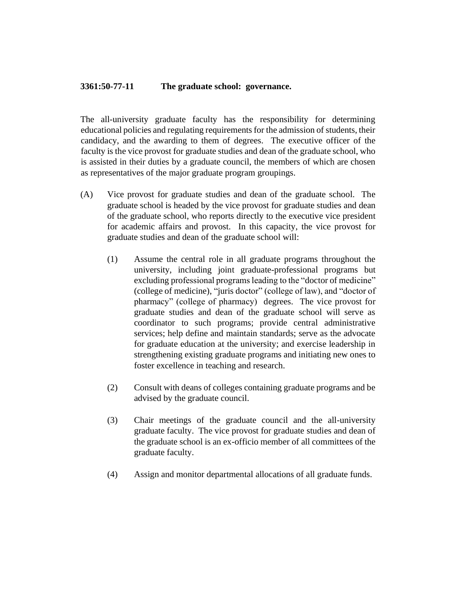## **3361:50-77-11 The graduate school: governance.**

The all-university graduate faculty has the responsibility for determining educational policies and regulating requirements for the admission of students, their candidacy, and the awarding to them of degrees. The executive officer of the faculty is the vice provost for graduate studies and dean of the graduate school, who is assisted in their duties by a graduate council, the members of which are chosen as representatives of the major graduate program groupings.

- (A) Vice provost for graduate studies and dean of the graduate school. The graduate school is headed by the vice provost for graduate studies and dean of the graduate school, who reports directly to the executive vice president for academic affairs and provost. In this capacity, the vice provost for graduate studies and dean of the graduate school will:
	- (1) Assume the central role in all graduate programs throughout the university, including joint graduate-professional programs but excluding professional programs leading to the "doctor of medicine" (college of medicine), "juris doctor" (college of law), and "doctor of pharmacy" (college of pharmacy) degrees. The vice provost for graduate studies and dean of the graduate school will serve as coordinator to such programs; provide central administrative services; help define and maintain standards; serve as the advocate for graduate education at the university; and exercise leadership in strengthening existing graduate programs and initiating new ones to foster excellence in teaching and research.
	- (2) Consult with deans of colleges containing graduate programs and be advised by the graduate council.
	- (3) Chair meetings of the graduate council and the all-university graduate faculty. The vice provost for graduate studies and dean of the graduate school is an ex-officio member of all committees of the graduate faculty.
	- (4) Assign and monitor departmental allocations of all graduate funds.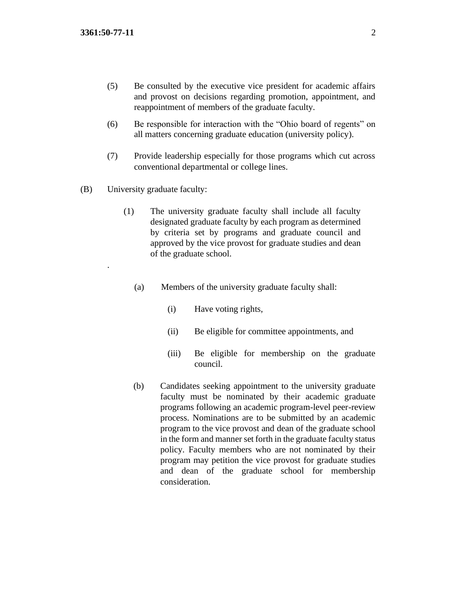.

- (5) Be consulted by the executive vice president for academic affairs and provost on decisions regarding promotion, appointment, and reappointment of members of the graduate faculty.
- (6) Be responsible for interaction with the "Ohio board of regents" on all matters concerning graduate education (university policy).
- (7) Provide leadership especially for those programs which cut across conventional departmental or college lines.
- (B) University graduate faculty:
	- (1) The university graduate faculty shall include all faculty designated graduate faculty by each program as determined by criteria set by programs and graduate council and approved by the vice provost for graduate studies and dean of the graduate school.
		- (a) Members of the university graduate faculty shall:
			- (i) Have voting rights,
			- (ii) Be eligible for committee appointments, and
			- (iii) Be eligible for membership on the graduate council.
		- (b) Candidates seeking appointment to the university graduate faculty must be nominated by their academic graduate programs following an academic program-level peer-review process. Nominations are to be submitted by an academic program to the vice provost and dean of the graduate school in the form and manner set forth in the graduate faculty status policy. Faculty members who are not nominated by their program may petition the vice provost for graduate studies and dean of the graduate school for membership consideration.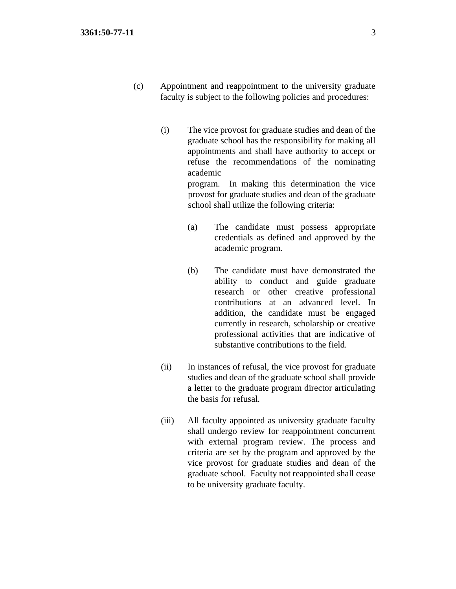- (c) Appointment and reappointment to the university graduate faculty is subject to the following policies and procedures:
	- (i) The vice provost for graduate studies and dean of the graduate school has the responsibility for making all appointments and shall have authority to accept or refuse the recommendations of the nominating academic program. In making this determination the vice provost for graduate studies and dean of the graduate school shall utilize the following criteria:
		- (a) The candidate must possess appropriate credentials as defined and approved by the academic program.
		- (b) The candidate must have demonstrated the ability to conduct and guide graduate research or other creative professional contributions at an advanced level. In addition, the candidate must be engaged currently in research, scholarship or creative professional activities that are indicative of substantive contributions to the field.
	- (ii) In instances of refusal, the vice provost for graduate studies and dean of the graduate school shall provide a letter to the graduate program director articulating the basis for refusal.
	- (iii) All faculty appointed as university graduate faculty shall undergo review for reappointment concurrent with external program review. The process and criteria are set by the program and approved by the vice provost for graduate studies and dean of the graduate school. Faculty not reappointed shall cease to be university graduate faculty.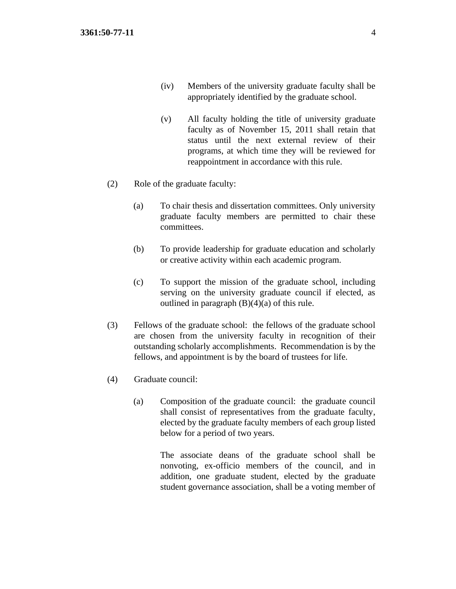- (iv) Members of the university graduate faculty shall be appropriately identified by the graduate school.
- (v) All faculty holding the title of university graduate faculty as of November 15, 2011 shall retain that status until the next external review of their programs, at which time they will be reviewed for reappointment in accordance with this rule.
- (2) Role of the graduate faculty:
	- (a) To chair thesis and dissertation committees. Only university graduate faculty members are permitted to chair these committees.
	- (b) To provide leadership for graduate education and scholarly or creative activity within each academic program.
	- (c) To support the mission of the graduate school, including serving on the university graduate council if elected, as outlined in paragraph  $(B)(4)(a)$  of this rule.
- (3) Fellows of the graduate school: the fellows of the graduate school are chosen from the university faculty in recognition of their outstanding scholarly accomplishments. Recommendation is by the fellows, and appointment is by the board of trustees for life.
- (4) Graduate council:
	- (a) Composition of the graduate council: the graduate council shall consist of representatives from the graduate faculty, elected by the graduate faculty members of each group listed below for a period of two years.

The associate deans of the graduate school shall be nonvoting, ex-officio members of the council, and in addition, one graduate student, elected by the graduate student governance association, shall be a voting member of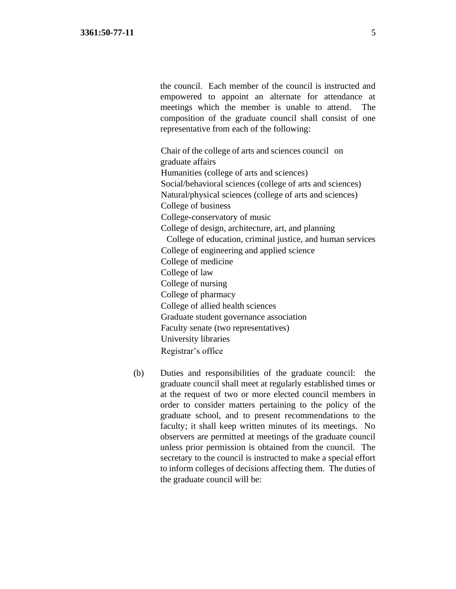the council. Each member of the council is instructed and empowered to appoint an alternate for attendance at meetings which the member is unable to attend. The composition of the graduate council shall consist of one representative from each of the following:

Chair of the college of arts and sciences council on graduate affairs Humanities (college of arts and sciences) Social/behavioral sciences (college of arts and sciences) Natural/physical sciences (college of arts and sciences) College of business College-conservatory of music College of design, architecture, art, and planning College of education, criminal justice, and human services College of engineering and applied science College of medicine College of law College of nursing College of pharmacy College of allied health sciences Graduate student governance association Faculty senate (two representatives) University libraries Registrar's office

(b) Duties and responsibilities of the graduate council: the graduate council shall meet at regularly established times or at the request of two or more elected council members in order to consider matters pertaining to the policy of the graduate school, and to present recommendations to the faculty; it shall keep written minutes of its meetings. No observers are permitted at meetings of the graduate council unless prior permission is obtained from the council. The secretary to the council is instructed to make a special effort to inform colleges of decisions affecting them. The duties of the graduate council will be: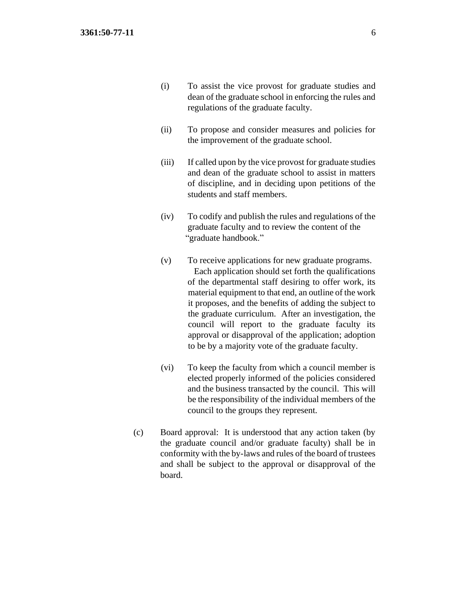- (i) To assist the vice provost for graduate studies and dean of the graduate school in enforcing the rules and regulations of the graduate faculty.
- (ii) To propose and consider measures and policies for the improvement of the graduate school.
- (iii) If called upon by the vice provost for graduate studies and dean of the graduate school to assist in matters of discipline, and in deciding upon petitions of the students and staff members.
- (iv) To codify and publish the rules and regulations of the graduate faculty and to review the content of the "graduate handbook."
- (v) To receive applications for new graduate programs. Each application should set forth the qualifications of the departmental staff desiring to offer work, its material equipment to that end, an outline of the work it proposes, and the benefits of adding the subject to the graduate curriculum. After an investigation, the council will report to the graduate faculty its approval or disapproval of the application; adoption to be by a majority vote of the graduate faculty.
- (vi) To keep the faculty from which a council member is elected properly informed of the policies considered and the business transacted by the council. This will be the responsibility of the individual members of the council to the groups they represent.
- (c) Board approval: It is understood that any action taken (by the graduate council and/or graduate faculty) shall be in conformity with the by-laws and rules of the board of trustees and shall be subject to the approval or disapproval of the board.